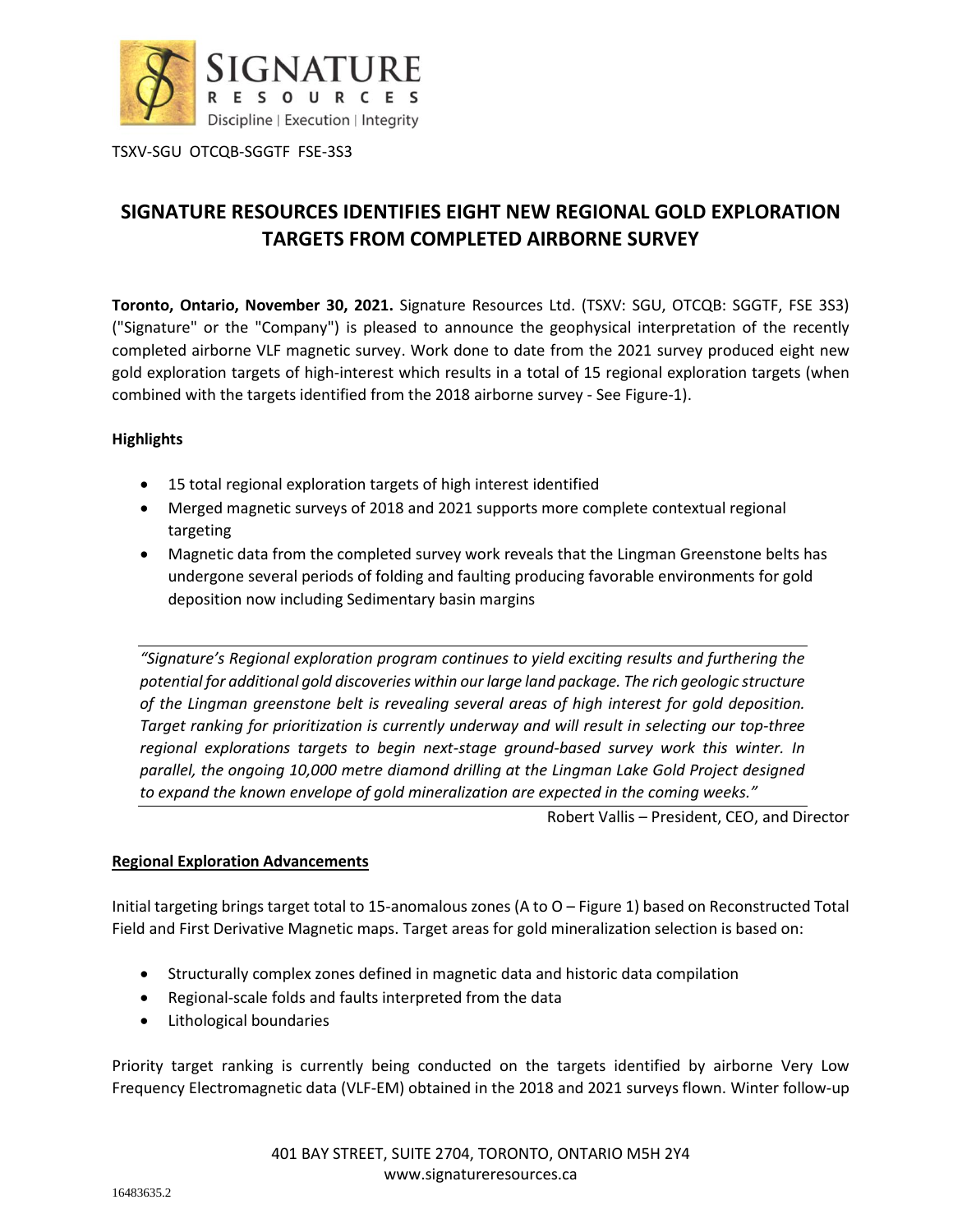

# **SIGNATURE RESOURCES IDENTIFIES EIGHT NEW REGIONAL GOLD EXPLORATION TARGETS FROM COMPLETED AIRBORNE SURVEY**

**Toronto, Ontario, November 30, 2021.** Signature Resources Ltd. (TSXV: SGU, OTCQB: SGGTF, FSE 3S3) ("Signature" or the "Company") is pleased to announce the geophysical interpretation of the recently completed airborne VLF magnetic survey. Work done to date from the 2021 survey produced eight new gold exploration targets of high-interest which results in a total of 15 regional exploration targets (when combined with the targets identified from the 2018 airborne survey - See Figure-1).

## **Highlights**

- 15 total regional exploration targets of high interest identified
- Merged magnetic surveys of 2018 and 2021 supports more complete contextual regional targeting
- Magnetic data from the completed survey work reveals that the Lingman Greenstone belts has undergone several periods of folding and faulting producing favorable environments for gold deposition now including Sedimentary basin margins

*"Signature's Regional exploration program continues to yield exciting results and furthering the potential for additional gold discoveries within our large land package. The rich geologic structure of the Lingman greenstone belt is revealing several areas of high interest for gold deposition. Target ranking for prioritization is currently underway and will result in selecting our top-three regional explorations targets to begin next-stage ground-based survey work this winter. In parallel, the ongoing 10,000 metre diamond drilling at the Lingman Lake Gold Project designed to expand the known envelope of gold mineralization are expected in the coming weeks."* 

Robert Vallis – President, CEO, and Director

## **Regional Exploration Advancements**

Initial targeting brings target total to 15-anomalous zones (A to O – Figure 1) based on Reconstructed Total Field and First Derivative Magnetic maps. Target areas for gold mineralization selection is based on:

- Structurally complex zones defined in magnetic data and historic data compilation
- Regional-scale folds and faults interpreted from the data
- Lithological boundaries

Priority target ranking is currently being conducted on the targets identified by airborne Very Low Frequency Electromagnetic data (VLF-EM) obtained in the 2018 and 2021 surveys flown. Winter follow-up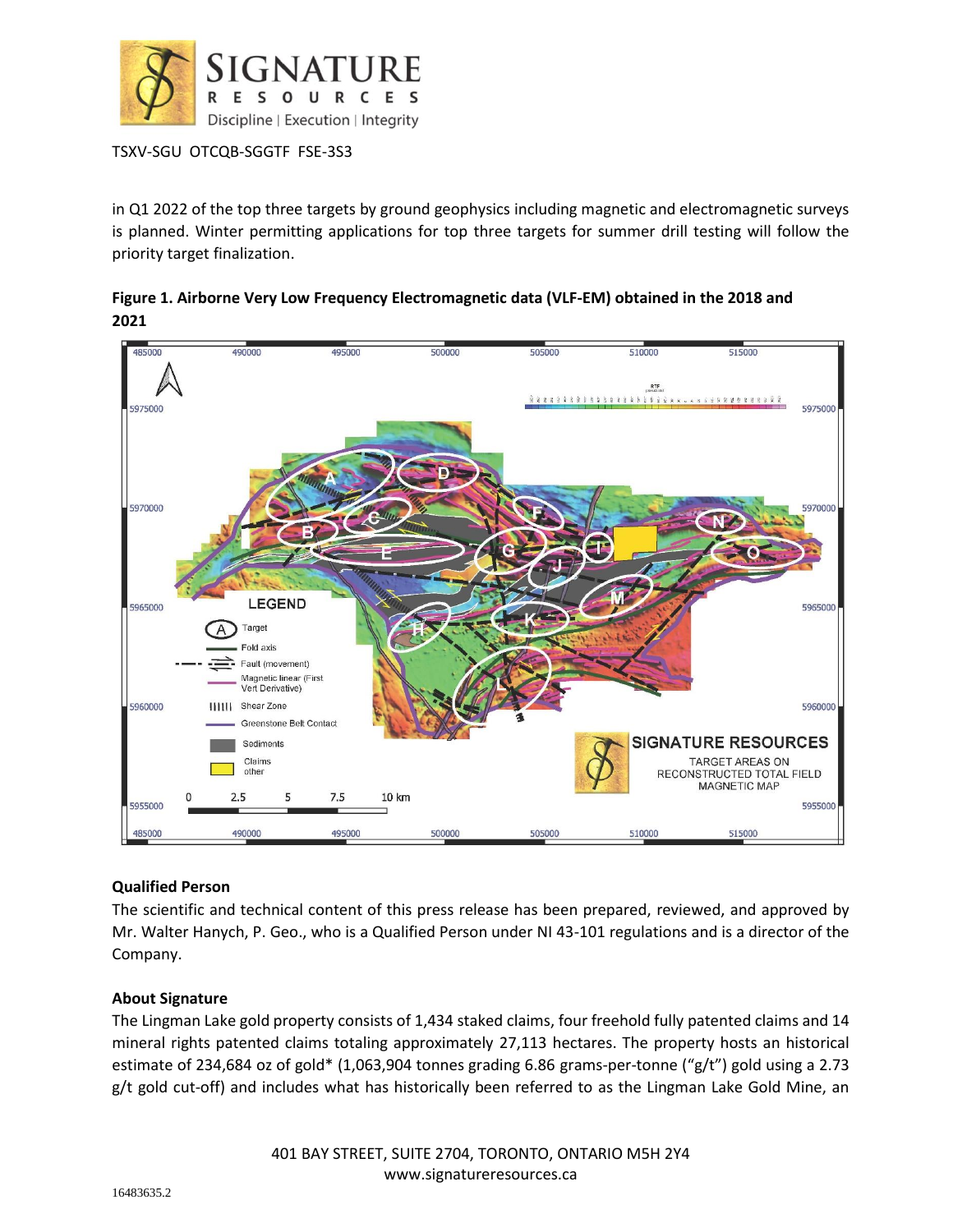

in Q1 2022 of the top three targets by ground geophysics including magnetic and electromagnetic surveys is planned. Winter permitting applications for top three targets for summer drill testing will follow the priority target finalization.

**Figure 1. Airborne Very Low Frequency Electromagnetic data (VLF-EM) obtained in the 2018 and 2021**



## **Qualified Person**

The scientific and technical content of this press release has been prepared, reviewed, and approved by Mr. Walter Hanych, P. Geo., who is a Qualified Person under NI 43-101 regulations and is a director of the Company.

## **About Signature**

The Lingman Lake gold property consists of 1,434 staked claims, four freehold fully patented claims and 14 mineral rights patented claims totaling approximately 27,113 hectares. The property hosts an historical estimate of 234,684 oz of gold\* (1,063,904 tonnes grading 6.86 grams-per-tonne ("g/t") gold using a 2.73 g/t gold cut-off) and includes what has historically been referred to as the Lingman Lake Gold Mine, an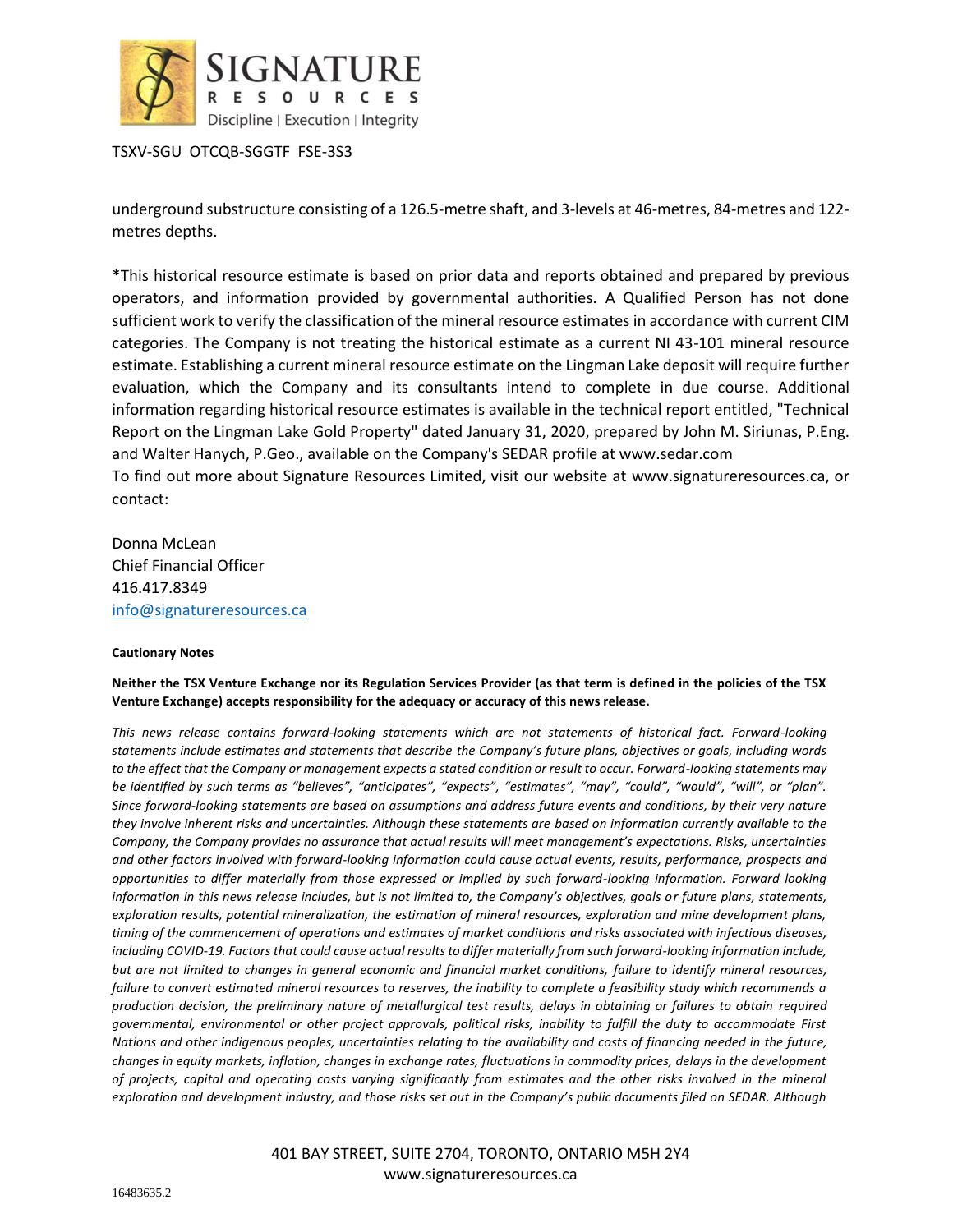

underground substructure consisting of a 126.5-metre shaft, and 3-levels at 46-metres, 84-metres and 122 metres depths.

\*This historical resource estimate is based on prior data and reports obtained and prepared by previous operators, and information provided by governmental authorities. A Qualified Person has not done sufficient work to verify the classification of the mineral resource estimates in accordance with current CIM categories. The Company is not treating the historical estimate as a current NI 43-101 mineral resource estimate. Establishing a current mineral resource estimate on the Lingman Lake deposit will require further evaluation, which the Company and its consultants intend to complete in due course. Additional information regarding historical resource estimates is available in the technical report entitled, "Technical Report on the Lingman Lake Gold Property" dated January 31, 2020, prepared by John M. Siriunas, P.Eng. and Walter Hanych, P.Geo., available on the Company's SEDAR profile at www.sedar.com To find out more about Signature Resources Limited, visit our website at www.signatureresources.ca, or

Donna McLean Chief Financial Officer 416.417.8349

#### [info@signatureresources.ca](mailto:info@signatureresources.ca)

#### **Cautionary Notes**

contact:

#### **Neither the TSX Venture Exchange nor its Regulation Services Provider (as that term is defined in the policies of the TSX Venture Exchange) accepts responsibility for the adequacy or accuracy of this news release.**

*This news release contains forward-looking statements which are not statements of historical fact. Forward-looking statements include estimates and statements that describe the Company's future plans, objectives or goals, including words*  to the effect that the Company or management expects a stated condition or result to occur. Forward-looking statements may *be identified by such terms as "believes", "anticipates", "expects", "estimates", "may", "could", "would", "will", or "plan". Since forward-looking statements are based on assumptions and address future events and conditions, by their very nature they involve inherent risks and uncertainties. Although these statements are based on information currently available to the Company, the Company provides no assurance that actual results will meet management's expectations. Risks, uncertainties and other factors involved with forward-looking information could cause actual events, results, performance, prospects and opportunities to differ materially from those expressed or implied by such forward-looking information. Forward looking information in this news release includes, but is not limited to, the Company's objectives, goals or future plans, statements, exploration results, potential mineralization, the estimation of mineral resources, exploration and mine development plans, timing of the commencement of operations and estimates of market conditions and risks associated with infectious diseases, including COVID-19. Factors that could cause actual results to differ materially from such forward-looking information include, but are not limited to changes in general economic and financial market conditions, failure to identify mineral resources, failure to convert estimated mineral resources to reserves, the inability to complete a feasibility study which recommends a production decision, the preliminary nature of metallurgical test results, delays in obtaining or failures to obtain required governmental, environmental or other project approvals, political risks, inability to fulfill the duty to accommodate First Nations and other indigenous peoples, uncertainties relating to the availability and costs of financing needed in the future, changes in equity markets, inflation, changes in exchange rates, fluctuations in commodity prices, delays in the development of projects, capital and operating costs varying significantly from estimates and the other risks involved in the mineral exploration and development industry, and those risks set out in the Company's public documents filed on SEDAR. Although* 

> 401 BAY STREET, SUITE 2704, TORONTO, ONTARIO M5H 2Y4 www.signatureresources.ca